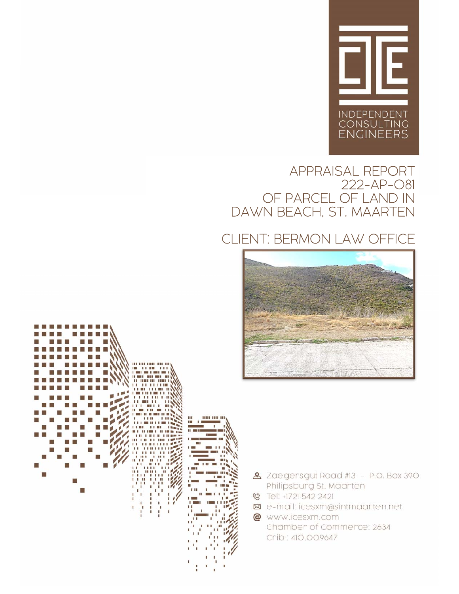

## APPRAISAL REPORT 222-AP-081 OF PARCEL OF LAND IN DAWN BEACH, ST. MAARTEN

# CLIENT: BERMON LAW OFFICE







- & Zaegersgut Road #13 P.O. Box 390 Philipsburg St. Maarten
- S Tel: +1721 542 2421
- ⊠ e-mail: icesxm@sintmaarten.net
- @ www.icesxm.com Chamber of Commerce: 2634 Crib: 410.009647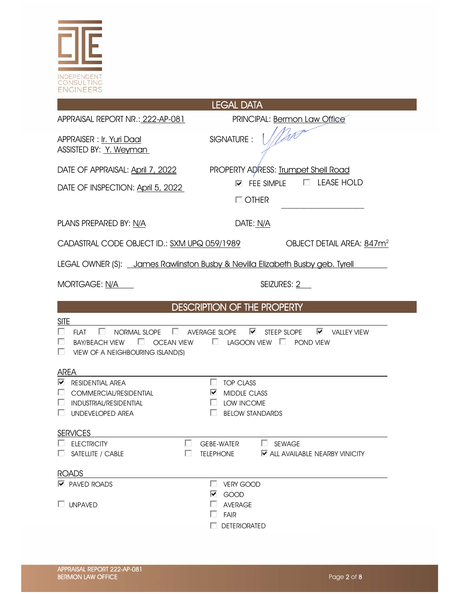

# LEGAL DATA APPRAISAL REPORT NR.: 222-AP-081 PRINCIPAL: Bermon Law Office APPRAISER : Ir. Yuri Daal SIGNATURE : ASSISTED BY: Y. Weyman DATE OF APPRAISAL: April 7, 2022 PROPERTY ADRESS: Trumpet Shell Road DATE OF INSPECTION: April 5, 2022 **FEE SIMPLE** E LEASE HOLD  $\Box$  OTHER PLANS PREPARED BY: N/A DATE: N/A CADASTRAL CODE OBJECT ID.: SXM UPQ 059/1989 OBJECT DETAIL AREA: 847m<sup>2</sup> LEGAL OWNER (S): James Rawlinston Busby & Nevilla Elizabeth Busby geb. Tyrell MORTGAGE: N/A SEIZURES: 2 DESCRIPTION OF THE PROPERTY SITE  $\square$  FLAT  $\square$  normal slope  $\square$  average slope  $\square$  steep slope  $\square$  valley view  $\square$  BAY/BEACH VIEW  $\square$  OCEAN VIEW  $\square$  LAGOON VIEW  $\square$  POND VIEW  $\Box$  VIEW OF A NEIGHBOURING ISLAND(S) AREA  $\nabla$  residential area  $\square$  top class  $\square$  commercial/residential  $\square$   $\square$  middle class INDUSTRIAL/RESIDENTIAL LOW INCOME  $\Box$  UNDEVELOPED AREA  $\Box$  BELOW STANDARDS **SERVICES** ELECTRICITY **ELECTRICITY** SEWAGE  $\Box$  SATELLITE / CABLE  $\Box$  TELEPHONE  $\Box$  ALL AVAILABLE NEARBY VINICITY ROADS **PAVED ROADS VERY GOOD**  GOOD  $\Box$  Average

**DETERIORATED** 

**Example 1** FAIR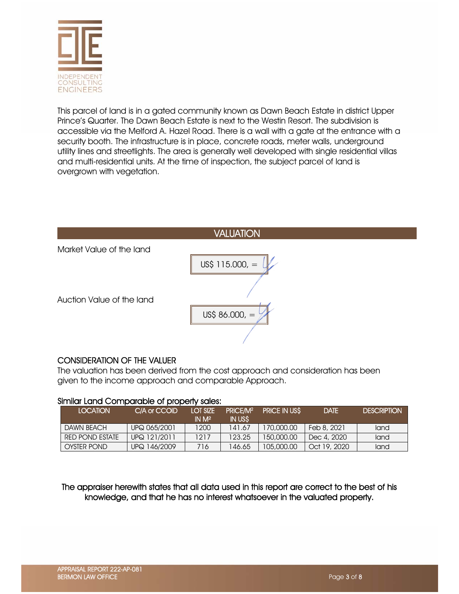

This parcel of land is in a gated community known as Dawn Beach Estate in district Upper Prince's Quarter. The Dawn Beach Estate is next to the Westin Resort. The subdivision is accessible via the Melford A. Hazel Road. There is a wall with a gate at the entrance with a security booth. The infrastructure is in place, concrete roads, meter walls, underground utility lines and streetlights. The area is generally well developed with single residential villas and multi-residential units. At the time of inspection, the subject parcel of land is overgrown with vegetation.



### CONSIDERATION OF THE VALUER

The valuation has been derived from the cost approach and consideration has been given to the income approach and comparable Approach.

| <b>LOCATION</b>        | C/A or CCOID | <b>LOT SIZE</b><br>IN M <sup>2</sup> | PRICE/M <sup>2</sup><br>IN USS | <b>PRICE IN USS</b> | <b>DATE</b>  | <b>DESCRIPTION</b> |
|------------------------|--------------|--------------------------------------|--------------------------------|---------------------|--------------|--------------------|
| <b>DAWN BEACH</b>      | UPQ 065/2001 | 1200                                 | 141.67                         | 170,000.00          | Feb 8, 2021  | land               |
| <b>RED POND ESTATE</b> | UPQ 121/2011 | 1217                                 | 123.25                         | 150,000.00          | Dec 4, 2020  | land               |
| <b>OYSTER POND</b>     | UPQ 146/2009 | 716                                  | 146.65                         | 105,000,00          | Oct 19, 2020 | land               |

### Similar Land Comparable of property sales:

The appraiser herewith states that all data used in this report are correct to the best of his knowledge, and that he has no interest whatsoever in the valuated property.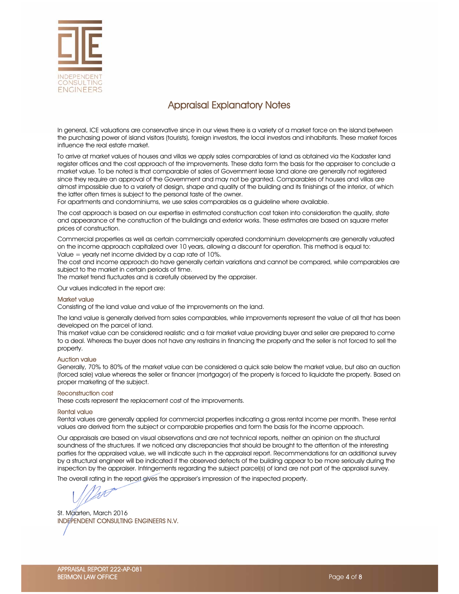

## Appraisal Explanatory Notes

In general, ICE valuations are conservative since in our views there is a variety of a market force on the island between the purchasing power of island visitors (tourists), foreign investors, the local investors and inhabitants. These market forces influence the real estate market.

To arrive at market values of houses and villas we apply sales comparables of land as obtained via the Kadaster land register offices and the cost approach of the improvements. These data form the basis for the appraiser to conclude a market value. To be noted is that comparable of sales of Government lease land alone are generally not registered since they require an approval of the Government and may not be granted. Comparables of houses and villas are almost impossible due to a variety of design, shape and quality of the building and its finishings of the interior, of which the latter often times is subject to the personal taste of the owner.

For apartments and condominiums, we use sales comparables as a guideline where available.

The cost approach is based on our expertise in estimated construction cost taken into consideration the quality, state and appearance of the construction of the buildings and exterior works. These estimates are based on square meter prices of construction.

Commercial properties as well as certain commercially operated condominium developments are generally valuated on the income approach capitalized over 10 years, allowing a discount for operation. This method is equal to: Value = yearly net income divided by a cap rate of 10%.

The cost and income approach do have generally certain variations and cannot be compared, while comparables are subject to the market in certain periods of time.

The market trend fluctuates and is carefully observed by the appraiser.

Our values indicated in the report are:

#### Market value

Consisting of the land value and value of the improvements on the land.

The land value is generally derived from sales comparables, while improvements represent the value of all that has been developed on the parcel of land.

This market value can be considered realistic and a fair market value providing buyer and seller are prepared to come to a deal. Whereas the buyer does not have any restrains in financing the property and the seller is not forced to sell the property.

#### Auction value

Generally, 70% to 80% of the market value can be considered a quick sale below the market value, but also an auction (forced sale) value whereas the seller or financer (mortgagor) of the property is forced to liquidate the property. Based on proper marketing of the subject.

#### Reconstruction cost

These costs represent the replacement cost of the improvements.

#### Rental value

Rental values are generally applied for commercial properties indicating a gross rental income per month. These rental values are derived from the subject or comparable properties and form the basis for the income approach.

Our appraisals are based on visual observations and are not technical reports, neither an opinion on the structural soundness of the structures. If we noticed any discrepancies that should be brought to the attention of the interesting parties for the appraised value, we will indicate such in the appraisal report. Recommendations for an additional survey by a structural engineer will be indicated if the observed defects of the building appear to be more seriously during the inspection by the appraiser. Infringements regarding the subject parcel(s) of land are not part of the appraisal survey.

The overall rating in the report gives the appraiser's impression of the inspected property.

St. Maarten, March 2016 INDEPENDENT CONSULTING ENGINEERS N.V.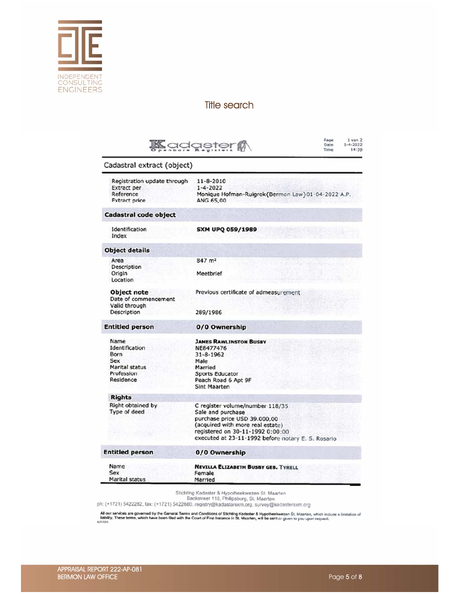

## Title search

|                                                                                           | Page<br>$1$ van $2$<br>Kadaster<br>$1 - 4 - 2022$<br>Date<br>14:38<br>Time                                                                                                                                         |  |  |  |
|-------------------------------------------------------------------------------------------|--------------------------------------------------------------------------------------------------------------------------------------------------------------------------------------------------------------------|--|--|--|
| Cadastral extract (object)                                                                |                                                                                                                                                                                                                    |  |  |  |
| Registration update through<br><b>Extract per</b><br>Reference<br><b>Extract price</b>    | $11 - 8 - 2010$<br>$1 - 4 - 2022$<br>Monique Hofman-Ruigrok{Bermon Law}01-04-2022 A.P.<br>ANG 65,00                                                                                                                |  |  |  |
| Cadastral code object                                                                     |                                                                                                                                                                                                                    |  |  |  |
| Identification<br>Index                                                                   | <b>SXM UPQ 059/1989</b>                                                                                                                                                                                            |  |  |  |
| <b>Object details</b>                                                                     |                                                                                                                                                                                                                    |  |  |  |
| Area<br>Description<br>Origin<br>Location                                                 | 847 m <sup>2</sup><br>Meetbrief                                                                                                                                                                                    |  |  |  |
| <b>Object note</b><br>Date of commencement<br>Valid through<br>Description                | Previous certificate of admeasurement<br>289/1986                                                                                                                                                                  |  |  |  |
| <b>Entitled person</b>                                                                    | 0/0 Ownership                                                                                                                                                                                                      |  |  |  |
| Name<br>Identification<br>Born<br>Sex<br><b>Marital status</b><br>Profession<br>Residence | <b>JAMES RAWLINSTON BUSBY</b><br>NE8477476<br>$31 - 8 - 1962$<br>Male<br>Married<br>Sports Educator<br>Peach Road 6 Apt 9F<br><b>Sint Maarten</b>                                                                  |  |  |  |
| <b>Rights</b><br>Right obtained by<br>Type of deed                                        | C register volume/number 118/35<br>Sale and purchase<br>purchase price USD 39.000,00<br>(acquired with more real estate)<br>registered on 30-11-1992 0:00:00<br>executed at 23-11-1992 before notary E. S. Rosario |  |  |  |
| <b>Entitled person</b>                                                                    | 0/0 Ownership                                                                                                                                                                                                      |  |  |  |
| Name<br>Sex<br>Marital status                                                             | <b>NEVILLA ELIZABETH BUSBY GEB. TYRELL</b><br>Female<br>Married                                                                                                                                                    |  |  |  |

Stichting Kadaster & Hypotheekwezen St. Maarten<br>Backstreet 118, Philipsburg, St. Maarten<br>ph: (+1721) 5422282, fax: (+1721) 5422880, registry@kadastersxm.org, survey@kadastersxm.org

All our services are governed by the General Terms and Conditions of Stichting Kødester & Hypotheekwezen St. Maarten, which include a limitation of<br>Itability, These terms, which have been filed with the Court of First Inst

×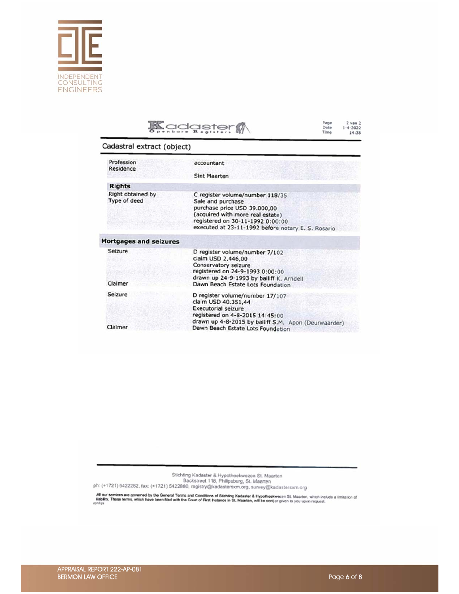

# **Kadgster**

Page<br>Date<br>Time 2 van 2<br>1-4-2022<br>14:38

### Cadastral extract (object)

| Profession<br>Residence           | accountant                                                                                                                                                                                                         |
|-----------------------------------|--------------------------------------------------------------------------------------------------------------------------------------------------------------------------------------------------------------------|
|                                   | <b>Sint Maarten</b>                                                                                                                                                                                                |
| <b>Rights</b>                     |                                                                                                                                                                                                                    |
| Right obtained by<br>Type of deed | C register volume/number 118/35<br>Sale and purchase<br>purchase price USD 39.000,00<br>(acquired with more real estate)<br>registered on 30-11-1992 0:00:00<br>executed at 23-11-1992 before notary E. S. Rosario |
| <b>Mortgages and seizures</b>     |                                                                                                                                                                                                                    |
| Seizure                           | D register volume/number 7/102<br>claim USD 2.446,00<br>Conservatory seizure<br>registered on 24-9-1993 0:00:00<br>drawn up 24-9-1993 by bailiff K. Arndell                                                        |
| Claimer                           | Dawn Beach Estate Lots Foundation                                                                                                                                                                                  |
| Seizure                           | D register volume/number 17/107<br>claim USD 40.351,44<br><b>Executorial seizure</b><br>registered on 4-8-2015 14:45:00                                                                                            |
| Claimer                           | drawn up 4-8-2015 by bailiff S.M. Apon (Deurwaarder)<br>Dawn Beach Estate Lots Foundation                                                                                                                          |

Stichting Kadaster & Hypotheekwezen St. Maarten<br>Backstreet 118, Philipsburg, St. Maarten<br>ph: (+1721) 5422282, fax: (+1721) 5422880, registry@kadastersxm.org, survey@kadastersxm.org

All our services are governed by the General Terms and Conditions of Stichting Kadaster & Hypotheekwezen St. Maarten, which include a limitation of<br>sanily. These terms, which have been filed with the Court of First Instanc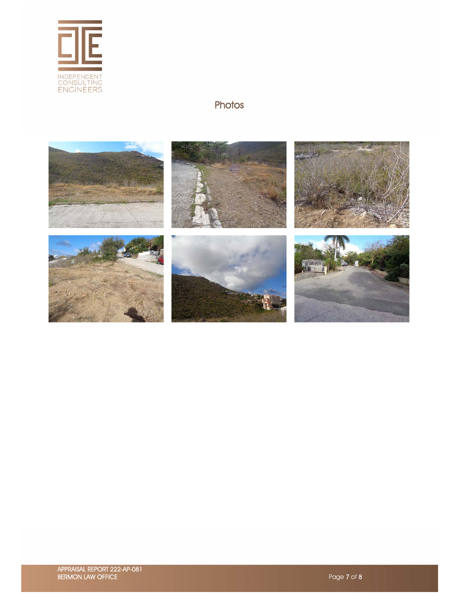

## **Photos**